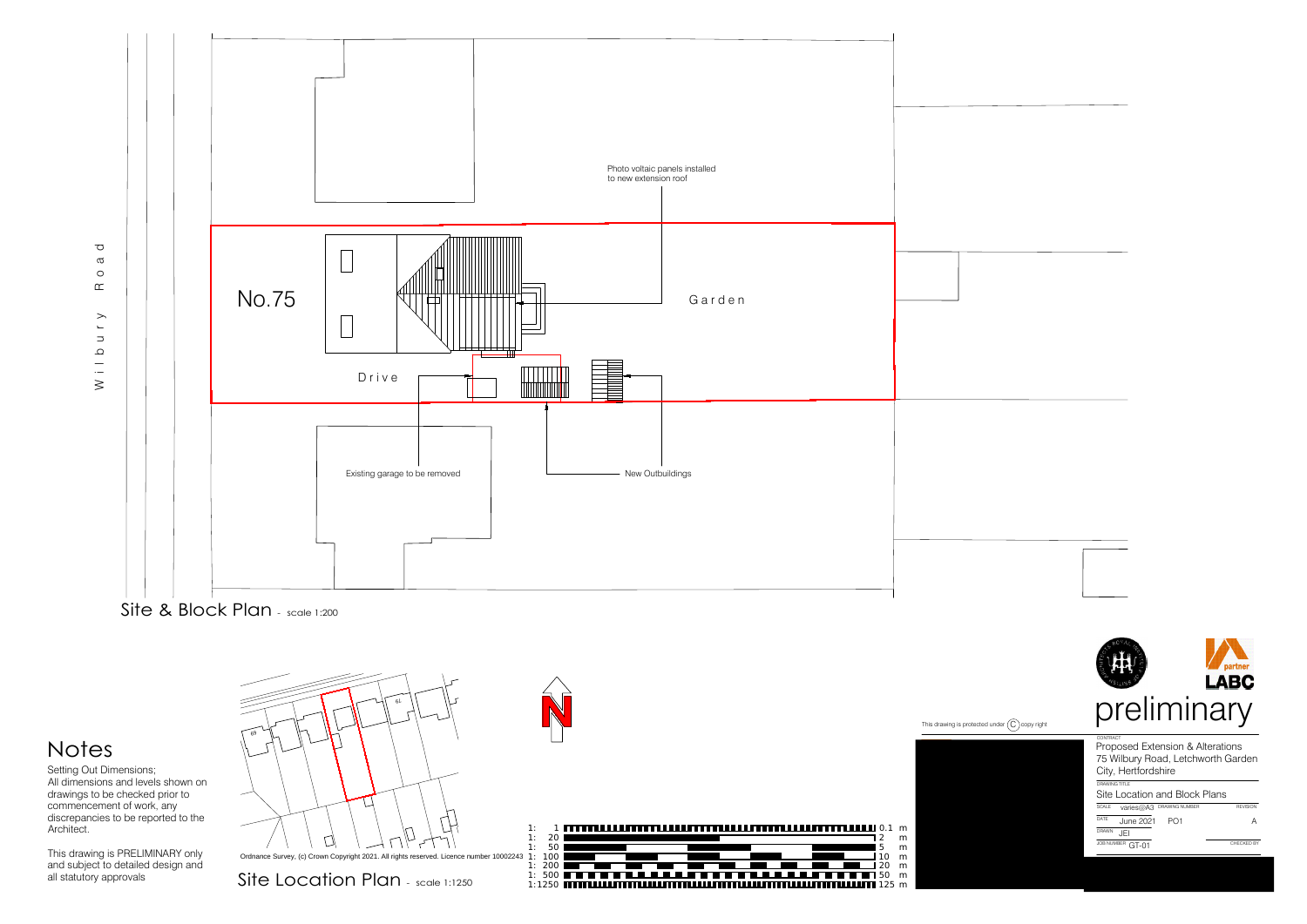







alscrepancies to be reported to the<br>Architect.<br>This drawing is PRELIMINARY only<br>and subject to detailed design and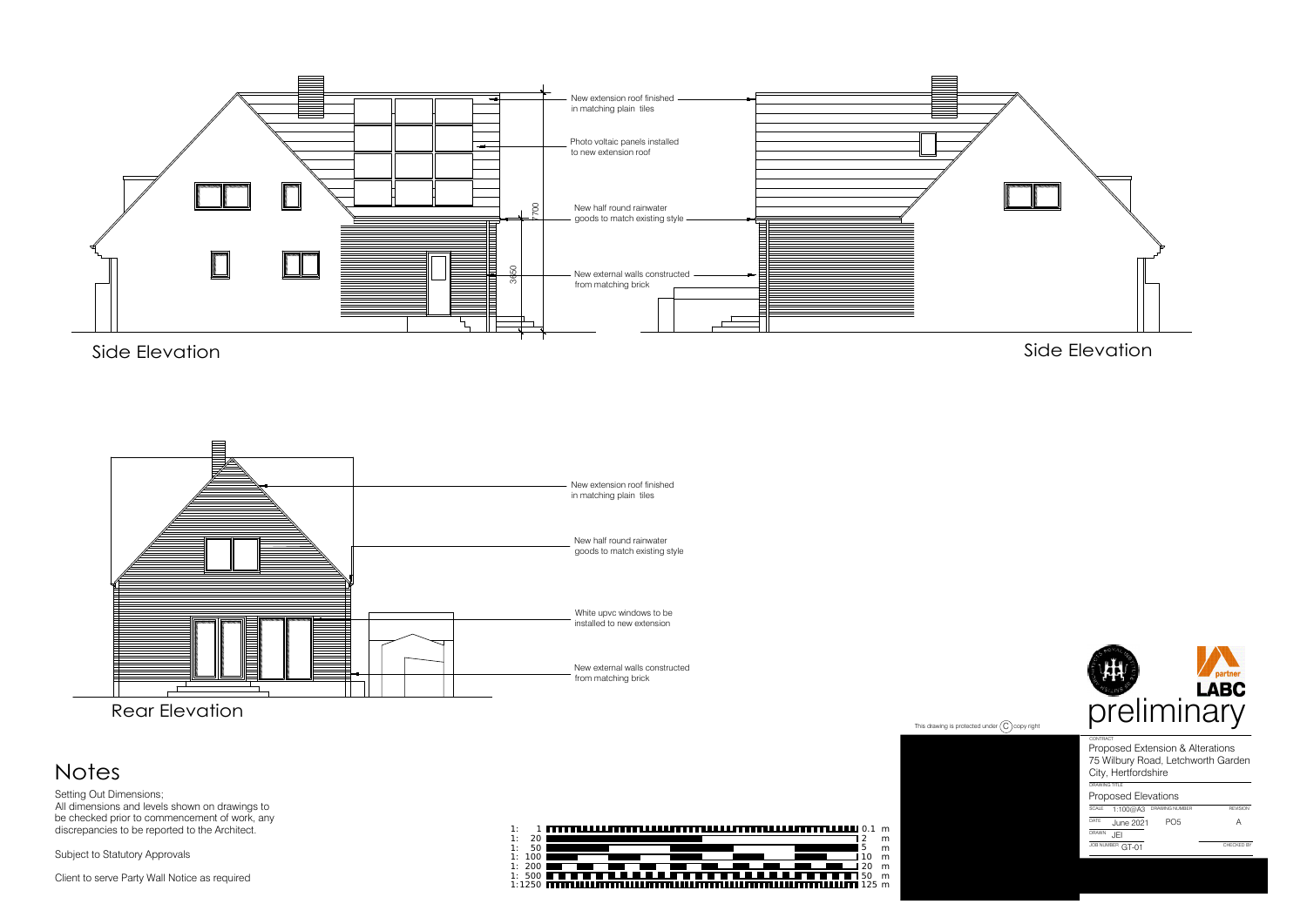

be checked prior to commencement of work, any<br>discrepancies to be reported to the Architect.<br>Subject to Statutory Approvals